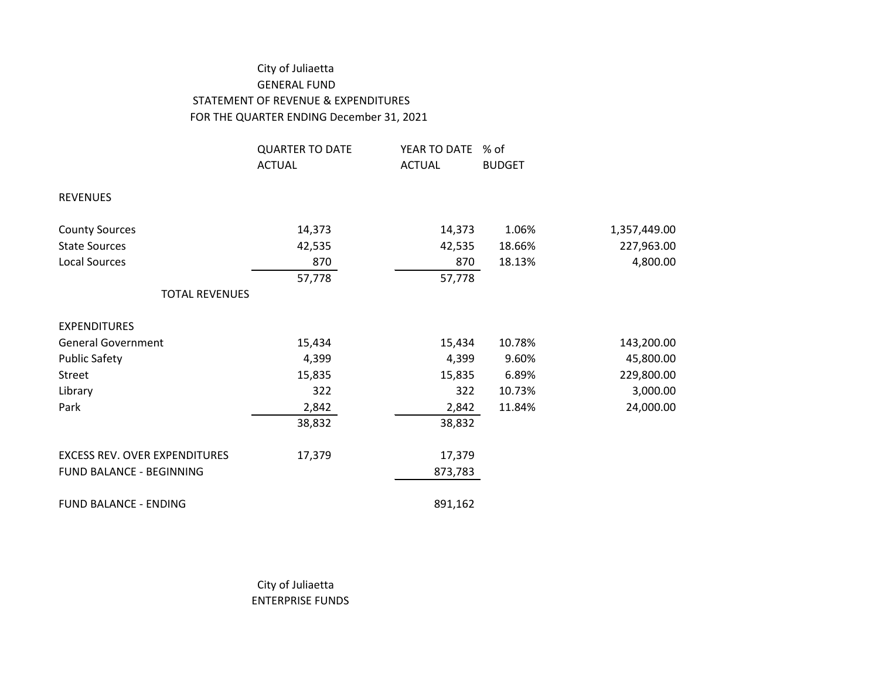## City of Juliaetta GENERAL FUND STATEMENT OF REVENUE & EXPENDITURES FOR THE QUARTER ENDING December 31, 2021

|                                      | <b>QUARTER TO DATE</b> | YEAR TO DATE  | % of          |              |
|--------------------------------------|------------------------|---------------|---------------|--------------|
|                                      | <b>ACTUAL</b>          | <b>ACTUAL</b> | <b>BUDGET</b> |              |
| <b>REVENUES</b>                      |                        |               |               |              |
| <b>County Sources</b>                | 14,373                 | 14,373        | 1.06%         | 1,357,449.00 |
| <b>State Sources</b>                 | 42,535                 | 42,535        | 18.66%        | 227,963.00   |
| <b>Local Sources</b>                 | 870                    | 870           | 18.13%        | 4,800.00     |
|                                      | 57,778                 | 57,778        |               |              |
| <b>TOTAL REVENUES</b>                |                        |               |               |              |
| <b>EXPENDITURES</b>                  |                        |               |               |              |
| <b>General Government</b>            | 15,434                 | 15,434        | 10.78%        | 143,200.00   |
| <b>Public Safety</b>                 | 4,399                  | 4,399         | 9.60%         | 45,800.00    |
| Street                               | 15,835                 | 15,835        | 6.89%         | 229,800.00   |
| Library                              | 322                    | 322           | 10.73%        | 3,000.00     |
| Park                                 | 2,842                  | 2,842         | 11.84%        | 24,000.00    |
|                                      | 38,832                 | 38,832        |               |              |
| <b>EXCESS REV. OVER EXPENDITURES</b> | 17,379                 | 17,379        |               |              |
| FUND BALANCE - BEGINNING             |                        | 873,783       |               |              |
| <b>FUND BALANCE - ENDING</b>         |                        | 891,162       |               |              |

City of Juliaetta ENTERPRISE FUNDS